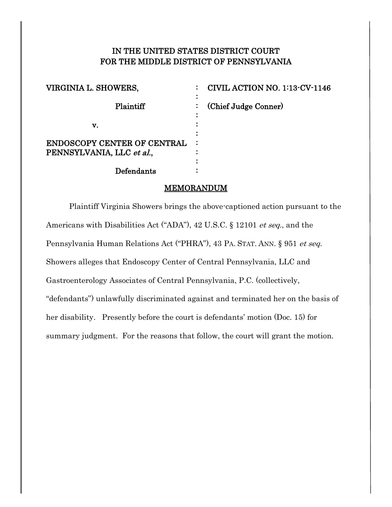# IN THE UNITED STATES DISTRICT COURT FOR THE MIDDLE DISTRICT OF PENNSYLVANIA

| VIRGINIA L. SHOWERS,                                            | CIVIL ACTION NO. 1:13-CV-1146 |
|-----------------------------------------------------------------|-------------------------------|
| Plaintiff                                                       | (Chief Judge Conner)<br>÷     |
| v.                                                              |                               |
| <b>ENDOSCOPY CENTER OF CENTRAL</b><br>PENNSYLVANIA, LLC et al., |                               |
| Defendants                                                      |                               |

### MEMORANDUM

Plaintiff Virginia Showers brings the above-captioned action pursuant to the Americans with Disabilities Act ("ADA"), 42 U.S.C. § 12101 *et seq.*, and the Pennsylvania Human Relations Act ("PHRA"), 43 PA. STAT. ANN. § 951 et seq. Showers alleges that Endoscopy Center of Central Pennsylvania, LLC and Gastroenterology Associates of Central Pennsylvania, P.C. (collectively, "defendants") unlawfully discriminated against and terminated her on the basis of her disability. Presently before the court is defendants' motion (Doc. 15) for summary judgment. For the reasons that follow, the court will grant the motion.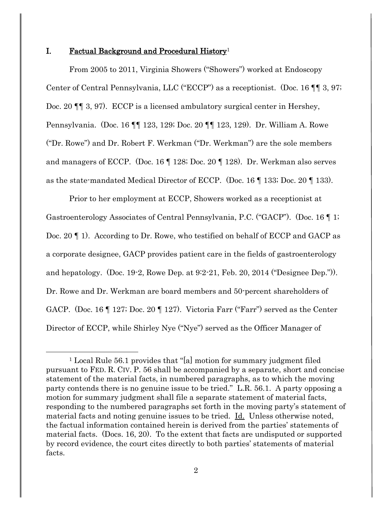#### I. Factual Background and Procedural History<sup>1</sup>

 $\overline{a}$ 

From 2005 to 2011, Virginia Showers ("Showers") worked at Endoscopy Center of Central Pennsylvania, LLC ("ECCP") as a receptionist. (Doc. 16 ¶¶ 3, 97; Doc. 20  $\P$  [ 3, 97). ECCP is a licensed ambulatory surgical center in Hershey, Pennsylvania. (Doc. 16 ¶¶ 123, 129; Doc. 20 ¶¶ 123, 129). Dr. William A. Rowe ("Dr. Rowe") and Dr. Robert F. Werkman ("Dr. Werkman") are the sole members and managers of ECCP. (Doc. 16 ¶ 128; Doc. 20 ¶ 128). Dr. Werkman also serves as the state-mandated Medical Director of ECCP. (Doc. 16 ¶ 133; Doc. 20 ¶ 133).

Prior to her employment at ECCP, Showers worked as a receptionist at Gastroenterology Associates of Central Pennsylvania, P.C. ("GACP"). (Doc. 16 ¶ 1; Doc. 20 ¶ 1). According to Dr. Rowe, who testified on behalf of ECCP and GACP as a corporate designee, GACP provides patient care in the fields of gastroenterology and hepatology. (Doc. 19-2, Rowe Dep. at 9:2-21, Feb. 20, 2014 ("Designee Dep.")). Dr. Rowe and Dr. Werkman are board members and 50-percent shareholders of GACP. (Doc. 16 ¶ 127; Doc. 20 ¶ 127). Victoria Farr ("Farr") served as the Center Director of ECCP, while Shirley Nye ("Nye") served as the Officer Manager of

<sup>1</sup> Local Rule 56.1 provides that "[a] motion for summary judgment filed pursuant to FED. R. CIV. P. 56 shall be accompanied by a separate, short and concise statement of the material facts, in numbered paragraphs, as to which the moving party contends there is no genuine issue to be tried." L.R. 56.1. A party opposing a motion for summary judgment shall file a separate statement of material facts, responding to the numbered paragraphs set forth in the moving party's statement of material facts and noting genuine issues to be tried. Id. Unless otherwise noted, the factual information contained herein is derived from the parties' statements of material facts. (Docs. 16, 20). To the extent that facts are undisputed or supported by record evidence, the court cites directly to both parties' statements of material facts.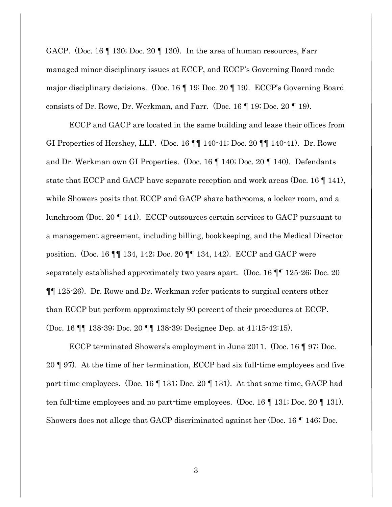GACP. (Doc. 16 ¶ 130; Doc. 20 ¶ 130). In the area of human resources, Farr managed minor disciplinary issues at ECCP, and ECCP's Governing Board made major disciplinary decisions. (Doc. 16 ¶ 19; Doc. 20 ¶ 19). ECCP's Governing Board consists of Dr. Rowe, Dr. Werkman, and Farr. (Doc. 16 ¶ 19; Doc. 20 ¶ 19).

ECCP and GACP are located in the same building and lease their offices from GI Properties of Hershey, LLP. (Doc. 16 ¶¶ 140-41; Doc. 20 ¶¶ 140-41). Dr. Rowe and Dr. Werkman own GI Properties. (Doc. 16 ¶ 140; Doc. 20 ¶ 140). Defendants state that ECCP and GACP have separate reception and work areas (Doc. 16 ¶ 141), while Showers posits that ECCP and GACP share bathrooms, a locker room, and a lunchroom (Doc. 20 ¶ 141). ECCP outsources certain services to GACP pursuant to a management agreement, including billing, bookkeeping, and the Medical Director position. (Doc. 16 ¶¶ 134, 142; Doc. 20 ¶¶ 134, 142). ECCP and GACP were separately established approximately two years apart. (Doc. 16 ¶¶ 125-26; Doc. 20 ¶¶ 125-26). Dr. Rowe and Dr. Werkman refer patients to surgical centers other than ECCP but perform approximately 90 percent of their procedures at ECCP. (Doc. 16 ¶¶ 138-39; Doc. 20 ¶¶ 138-39; Designee Dep. at 41:15-42:15).

ECCP terminated Showers's employment in June 2011. (Doc. 16 ¶ 97; Doc. 20 ¶ 97). At the time of her termination, ECCP had six full-time employees and five part-time employees. (Doc. 16 ¶ 131; Doc. 20 ¶ 131). At that same time, GACP had ten full-time employees and no part-time employees. (Doc. 16 ¶ 131; Doc. 20 ¶ 131). Showers does not allege that GACP discriminated against her (Doc. 16 ¶ 146; Doc.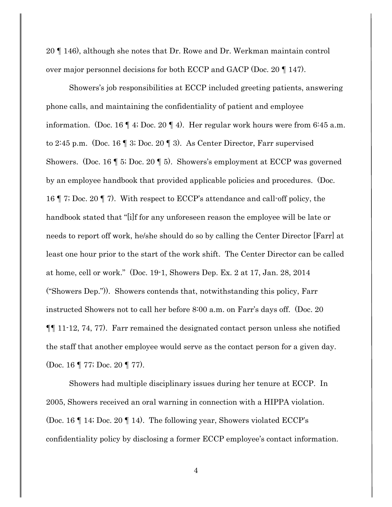20 ¶ 146), although she notes that Dr. Rowe and Dr. Werkman maintain control over major personnel decisions for both ECCP and GACP (Doc. 20 ¶ 147).

Showers's job responsibilities at ECCP included greeting patients, answering phone calls, and maintaining the confidentiality of patient and employee information. (Doc. 16 ¶ 4; Doc. 20 ¶ 4). Her regular work hours were from 6:45 a.m. to 2:45 p.m. (Doc. 16 ¶ 3; Doc. 20 ¶ 3). As Center Director, Farr supervised Showers. (Doc. 16 ¶ 5; Doc. 20 ¶ 5). Showers's employment at ECCP was governed by an employee handbook that provided applicable policies and procedures. (Doc. 16 ¶ 7; Doc. 20 ¶ 7). With respect to ECCP's attendance and call-off policy, the handbook stated that "[i]f for any unforeseen reason the employee will be late or needs to report off work, he/she should do so by calling the Center Director [Farr] at least one hour prior to the start of the work shift. The Center Director can be called at home, cell or work." (Doc. 19-1, Showers Dep. Ex. 2 at 17, Jan. 28, 2014 ("Showers Dep.")). Showers contends that, notwithstanding this policy, Farr instructed Showers not to call her before 8:00 a.m. on Farr's days off. (Doc. 20 ¶¶ 11-12, 74, 77). Farr remained the designated contact person unless she notified the staff that another employee would serve as the contact person for a given day. (Doc. 16 ¶ 77; Doc. 20 ¶ 77).

Showers had multiple disciplinary issues during her tenure at ECCP. In 2005, Showers received an oral warning in connection with a HIPPA violation. (Doc. 16 ¶ 14; Doc. 20 ¶ 14). The following year, Showers violated ECCP's confidentiality policy by disclosing a former ECCP employee's contact information.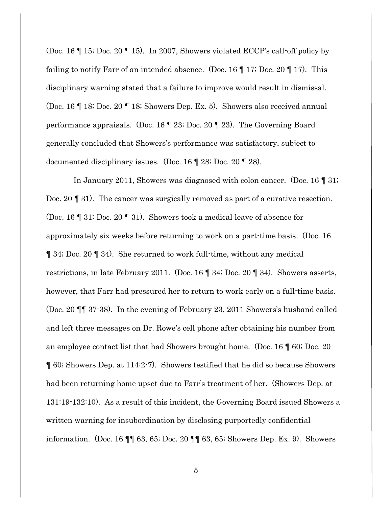(Doc. 16 ¶ 15; Doc. 20 ¶ 15). In 2007, Showers violated ECCP's call-off policy by failing to notify Farr of an intended absence. (Doc. 16  $\parallel$  17; Doc. 20  $\parallel$  17). This disciplinary warning stated that a failure to improve would result in dismissal. (Doc. 16 ¶ 18; Doc. 20 ¶ 18; Showers Dep. Ex. 5). Showers also received annual performance appraisals. (Doc. 16 ¶ 23; Doc. 20 ¶ 23). The Governing Board generally concluded that Showers's performance was satisfactory, subject to documented disciplinary issues. (Doc. 16 ¶ 28; Doc. 20 ¶ 28).

 In January 2011, Showers was diagnosed with colon cancer. (Doc. 16 ¶ 31; Doc. 20 ¶ 31). The cancer was surgically removed as part of a curative resection. (Doc. 16 ¶ 31; Doc. 20 ¶ 31). Showers took a medical leave of absence for approximately six weeks before returning to work on a part-time basis. (Doc. 16 ¶ 34; Doc. 20 ¶ 34). She returned to work full-time, without any medical restrictions, in late February 2011. (Doc. 16 ¶ 34; Doc. 20 ¶ 34). Showers asserts, however, that Farr had pressured her to return to work early on a full-time basis. (Doc. 20 ¶¶ 37-38). In the evening of February 23, 2011 Showers's husband called and left three messages on Dr. Rowe's cell phone after obtaining his number from an employee contact list that had Showers brought home. (Doc. 16 ¶ 60; Doc. 20 ¶ 60; Showers Dep. at 114:2-7). Showers testified that he did so because Showers had been returning home upset due to Farr's treatment of her. (Showers Dep. at 131:19-132:10). As a result of this incident, the Governing Board issued Showers a written warning for insubordination by disclosing purportedly confidential information. (Doc. 16 ¶¶ 63, 65; Doc. 20 ¶¶ 63, 65; Showers Dep. Ex. 9). Showers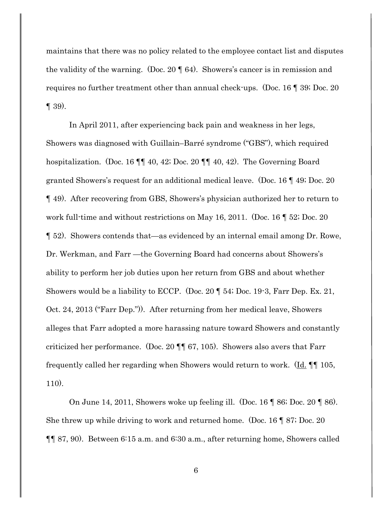maintains that there was no policy related to the employee contact list and disputes the validity of the warning. (Doc. 20 ¶ 64). Showers's cancer is in remission and requires no further treatment other than annual check-ups. (Doc. 16 ¶ 39; Doc. 20  $\P$  39).

In April 2011, after experiencing back pain and weakness in her legs, Showers was diagnosed with Guillain–Barré syndrome ("GBS"), which required hospitalization. (Doc. 16 ¶¶ 40, 42; Doc. 20 ¶¶ 40, 42). The Governing Board granted Showers's request for an additional medical leave. (Doc. 16 ¶ 49; Doc. 20 ¶ 49). After recovering from GBS, Showers's physician authorized her to return to work full-time and without restrictions on May 16, 2011. (Doc. 16 ¶ 52; Doc. 20 ¶ 52). Showers contends that—as evidenced by an internal email among Dr. Rowe, Dr. Werkman, and Farr —the Governing Board had concerns about Showers's ability to perform her job duties upon her return from GBS and about whether Showers would be a liability to ECCP. (Doc. 20 ¶ 54; Doc. 19-3, Farr Dep. Ex. 21, Oct. 24, 2013 ("Farr Dep.")). After returning from her medical leave, Showers alleges that Farr adopted a more harassing nature toward Showers and constantly criticized her performance. (Doc. 20 ¶¶ 67, 105). Showers also avers that Farr frequently called her regarding when Showers would return to work. (Id. ¶¶ 105, 110).

On June 14, 2011, Showers woke up feeling ill. (Doc. 16 ¶ 86; Doc. 20 ¶ 86). She threw up while driving to work and returned home. (Doc. 16 ¶ 87; Doc. 20 ¶¶ 87, 90). Between 6:15 a.m. and 6:30 a.m., after returning home, Showers called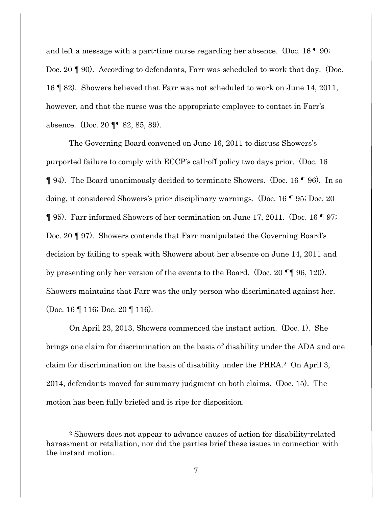and left a message with a part-time nurse regarding her absence. (Doc. 16 ¶ 90; Doc. 20 ¶ 90). According to defendants, Farr was scheduled to work that day. (Doc. 16 ¶ 82). Showers believed that Farr was not scheduled to work on June 14, 2011, however, and that the nurse was the appropriate employee to contact in Farr's absence. (Doc. 20 ¶¶ 82, 85, 89).

The Governing Board convened on June 16, 2011 to discuss Showers's purported failure to comply with ECCP's call-off policy two days prior. (Doc. 16 ¶ 94). The Board unanimously decided to terminate Showers. (Doc. 16 ¶ 96). In so doing, it considered Showers's prior disciplinary warnings. (Doc. 16 ¶ 95; Doc. 20 ¶ 95). Farr informed Showers of her termination on June 17, 2011. (Doc. 16 ¶ 97; Doc. 20 ¶ 97). Showers contends that Farr manipulated the Governing Board's decision by failing to speak with Showers about her absence on June 14, 2011 and by presenting only her version of the events to the Board. (Doc. 20 ¶¶ 96, 120). Showers maintains that Farr was the only person who discriminated against her. (Doc. 16 ¶ 116; Doc. 20 ¶ 116).

On April 23, 2013, Showers commenced the instant action. (Doc. 1). She brings one claim for discrimination on the basis of disability under the ADA and one claim for discrimination on the basis of disability under the PHRA.2 On April 3, 2014, defendants moved for summary judgment on both claims. (Doc. 15). The motion has been fully briefed and is ripe for disposition.

<sup>2</sup> Showers does not appear to advance causes of action for disability-related harassment or retaliation, nor did the parties brief these issues in connection with the instant motion.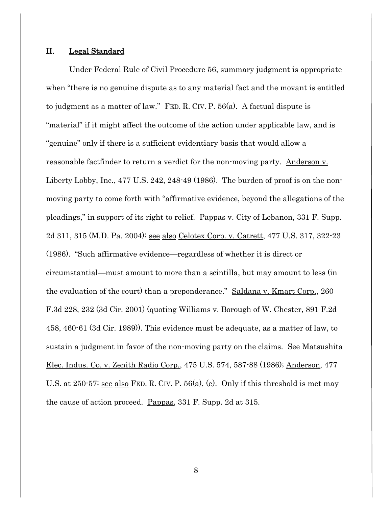#### II. Legal Standard

Under Federal Rule of Civil Procedure 56, summary judgment is appropriate when "there is no genuine dispute as to any material fact and the movant is entitled to judgment as a matter of law." FED. R. CIV. P. 56(a). A factual dispute is "material" if it might affect the outcome of the action under applicable law, and is "genuine" only if there is a sufficient evidentiary basis that would allow a reasonable factfinder to return a verdict for the non-moving party. Anderson v. Liberty Lobby, Inc., 477 U.S. 242, 248-49 (1986). The burden of proof is on the nonmoving party to come forth with "affirmative evidence, beyond the allegations of the pleadings," in support of its right to relief. Pappas v. City of Lebanon, 331 F. Supp. 2d 311, 315 (M.D. Pa. 2004); see also Celotex Corp. v. Catrett, 477 U.S. 317, 322-23 (1986). "Such affirmative evidence—regardless of whether it is direct or circumstantial—must amount to more than a scintilla, but may amount to less (in the evaluation of the court) than a preponderance." Saldana v. Kmart Corp., 260 F.3d 228, 232 (3d Cir. 2001) (quoting Williams v. Borough of W. Chester, 891 F.2d 458, 460-61 (3d Cir. 1989)). This evidence must be adequate, as a matter of law, to sustain a judgment in favor of the non-moving party on the claims. See Matsushita Elec. Indus. Co. v. Zenith Radio Corp., 475 U.S. 574, 587-88 (1986); Anderson, 477 U.S. at 250-57; see also FED. R. CIV. P. 56(a), (e). Only if this threshold is met may the cause of action proceed. Pappas, 331 F. Supp. 2d at 315.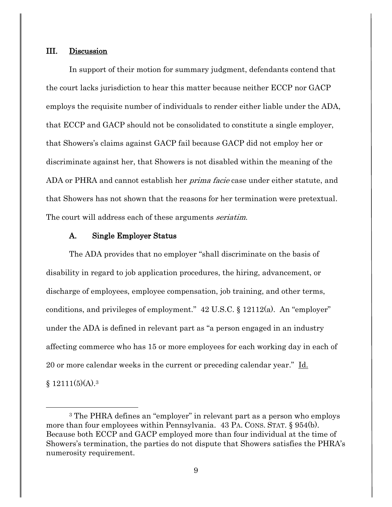#### III. Discussion

 $\overline{a}$ 

In support of their motion for summary judgment, defendants contend that the court lacks jurisdiction to hear this matter because neither ECCP nor GACP employs the requisite number of individuals to render either liable under the ADA, that ECCP and GACP should not be consolidated to constitute a single employer, that Showers's claims against GACP fail because GACP did not employ her or discriminate against her, that Showers is not disabled within the meaning of the ADA or PHRA and cannot establish her *prima facie* case under either statute, and that Showers has not shown that the reasons for her termination were pretextual. The court will address each of these arguments *seriatim*.

### A. Single Employer Status

The ADA provides that no employer "shall discriminate on the basis of disability in regard to job application procedures, the hiring, advancement, or discharge of employees, employee compensation, job training, and other terms, conditions, and privileges of employment." 42 U.S.C. § 12112(a). An "employer" under the ADA is defined in relevant part as "a person engaged in an industry affecting commerce who has 15 or more employees for each working day in each of 20 or more calendar weeks in the current or preceding calendar year." Id.  $$12111(5)(A).<sup>3</sup>$ 

<sup>3</sup> The PHRA defines an "employer" in relevant part as a person who employs more than four employees within Pennsylvania. 43 PA. CONS. STAT. § 954(b). Because both ECCP and GACP employed more than four individual at the time of Showers's termination, the parties do not dispute that Showers satisfies the PHRA's numerosity requirement.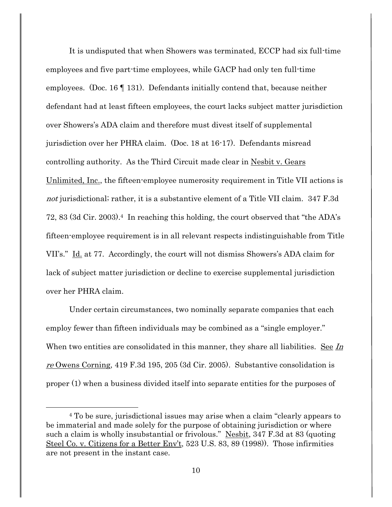It is undisputed that when Showers was terminated, ECCP had six full-time employees and five part-time employees, while GACP had only ten full-time employees. (Doc. 16 ¶ 131). Defendants initially contend that, because neither defendant had at least fifteen employees, the court lacks subject matter jurisdiction over Showers's ADA claim and therefore must divest itself of supplemental jurisdiction over her PHRA claim. (Doc. 18 at 16-17). Defendants misread controlling authority. As the Third Circuit made clear in Nesbit v. Gears Unlimited, Inc., the fifteen-employee numerosity requirement in Title VII actions is not jurisdictional; rather, it is a substantive element of a Title VII claim. 347 F.3d 72, 83 (3d Cir. 2003). <sup>4</sup> In reaching this holding, the court observed that "the ADA's fifteen-employee requirement is in all relevant respects indistinguishable from Title VII's." Id. at 77. Accordingly, the court will not dismiss Showers's ADA claim for lack of subject matter jurisdiction or decline to exercise supplemental jurisdiction over her PHRA claim.

Under certain circumstances, two nominally separate companies that each employ fewer than fifteen individuals may be combined as a "single employer." When two entities are consolidated in this manner, they share all liabilities. See In re Owens Corning, 419 F.3d 195, 205 (3d Cir. 2005). Substantive consolidation is proper (1) when a business divided itself into separate entities for the purposes of

 $\overline{a}$ 

<sup>4</sup> To be sure, jurisdictional issues may arise when a claim "clearly appears to be immaterial and made solely for the purpose of obtaining jurisdiction or where such a claim is wholly insubstantial or frivolous." Nesbit, 347 F.3d at 83 (quoting Steel Co. v. Citizens for a Better Env't, 523 U.S. 83, 89 (1998)). Those infirmities are not present in the instant case.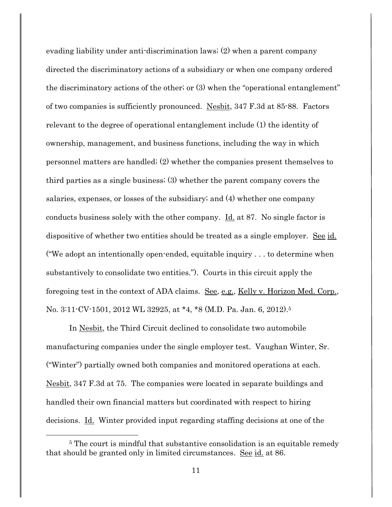evading liability under anti-discrimination laws; (2) when a parent company directed the discriminatory actions of a subsidiary or when one company ordered the discriminatory actions of the other; or (3) when the "operational entanglement" of two companies is sufficiently pronounced. Nesbit, 347 F.3d at 85-88. Factors relevant to the degree of operational entanglement include (1) the identity of ownership, management, and business functions, including the way in which personnel matters are handled; (2) whether the companies present themselves to third parties as a single business; (3) whether the parent company covers the salaries, expenses, or losses of the subsidiary; and (4) whether one company conducts business solely with the other company. Id. at 87. No single factor is dispositive of whether two entities should be treated as a single employer. See id. ("We adopt an intentionally open-ended, equitable inquiry . . . to determine when substantively to consolidate two entities."). Courts in this circuit apply the foregoing test in the context of ADA claims. See, e.g., Kelly v. Horizon Med. Corp., No. 3:11-CV-1501, 2012 WL 32925, at \*4, \*8 (M.D. Pa. Jan. 6, 2012). 5

In Nesbit, the Third Circuit declined to consolidate two automobile manufacturing companies under the single employer test. Vaughan Winter, Sr. ("Winter") partially owned both companies and monitored operations at each. Nesbit, 347 F.3d at 75. The companies were located in separate buildings and handled their own financial matters but coordinated with respect to hiring decisions. Id. Winter provided input regarding staffing decisions at one of the

<sup>&</sup>lt;sup>5</sup> The court is mindful that substantive consolidation is an equitable remedy that should be granted only in limited circumstances. See id. at 86.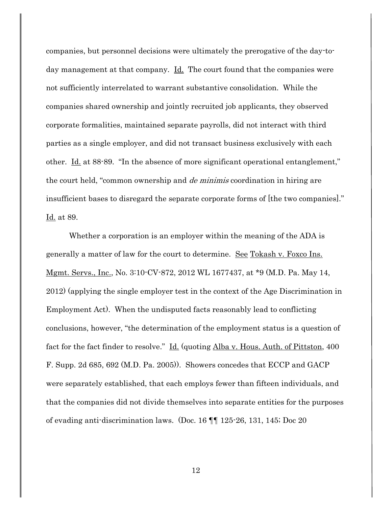companies, but personnel decisions were ultimately the prerogative of the day-today management at that company. <u>Id.</u> The court found that the companies were not sufficiently interrelated to warrant substantive consolidation. While the companies shared ownership and jointly recruited job applicants, they observed corporate formalities, maintained separate payrolls, did not interact with third parties as a single employer, and did not transact business exclusively with each other. Id. at 88-89. "In the absence of more significant operational entanglement," the court held, "common ownership and *de minimis* coordination in hiring are insufficient bases to disregard the separate corporate forms of [the two companies]." Id. at 89.

Whether a corporation is an employer within the meaning of the ADA is generally a matter of law for the court to determine. See Tokash v. Foxco Ins. Mgmt. Servs., Inc., No. 3:10-CV-872, 2012 WL 1677437, at \*9 (M.D. Pa. May 14, 2012) (applying the single employer test in the context of the Age Discrimination in Employment Act). When the undisputed facts reasonably lead to conflicting conclusions, however, "the determination of the employment status is a question of fact for the fact finder to resolve." Id. (quoting Alba v. Hous. Auth. of Pittston, 400 F. Supp. 2d 685, 692 (M.D. Pa. 2005)). Showers concedes that ECCP and GACP were separately established, that each employs fewer than fifteen individuals, and that the companies did not divide themselves into separate entities for the purposes of evading anti-discrimination laws. (Doc. 16 ¶¶ 125-26, 131, 145; Doc 20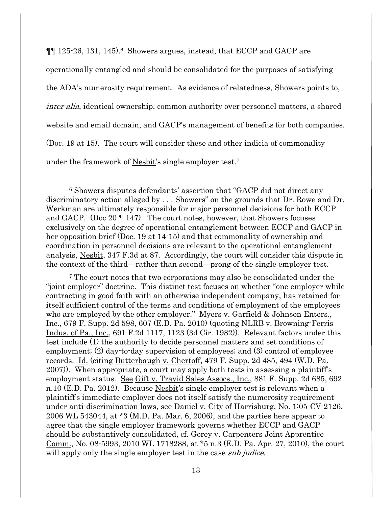¶¶ 125-26, 131, 145).6 Showers argues, instead, that ECCP and GACP are operationally entangled and should be consolidated for the purposes of satisfying the ADA's numerosity requirement. As evidence of relatedness, Showers points to, inter alia, identical ownership, common authority over personnel matters, a shared website and email domain, and GACP's management of benefits for both companies. (Doc. 19 at 15). The court will consider these and other indicia of commonality under the framework of Nesbit's single employer test.<sup>7</sup>

<sup>6</sup> Showers disputes defendants' assertion that "GACP did not direct any discriminatory action alleged by . . . Showers" on the grounds that Dr. Rowe and Dr. Werkman are ultimately responsible for major personnel decisions for both ECCP and GACP. (Doc 20 ¶ 147). The court notes, however, that Showers focuses exclusively on the degree of operational entanglement between ECCP and GACP in her opposition brief (Doc. 19 at 14-15) and that commonality of ownership and coordination in personnel decisions are relevant to the operational entanglement analysis, Nesbit, 347 F.3d at 87. Accordingly, the court will consider this dispute in the context of the third—rather than second—prong of the single employer test.

l

<sup>7</sup> The court notes that two corporations may also be consolidated under the "joint employer" doctrine. This distinct test focuses on whether "one employer while contracting in good faith with an otherwise independent company, has retained for itself sufficient control of the terms and conditions of employment of the employees who are employed by the other employer." Myers v. Garfield & Johnson Enters., Inc., 679 F. Supp. 2d 598, 607 (E.D. Pa. 2010) (quoting NLRB v. Browning-Ferris Indus. of Pa., Inc., 691 F.2d 1117, 1123 (3d Cir. 1982)). Relevant factors under this test include (1) the authority to decide personnel matters and set conditions of employment; (2) day-to-day supervision of employees; and (3) control of employee records. Id. (citing Butterbaugh v. Chertoff, 479 F. Supp. 2d 485, 494 (W.D. Pa. 2007)). When appropriate, a court may apply both tests in assessing a plaintiff's employment status. See Gift v. Travid Sales Assocs., Inc., 881 F. Supp. 2d 685, 692 n.10 (E.D. Pa. 2012). Because Nesbit's single employer test is relevant when a plaintiff's immediate employer does not itself satisfy the numerosity requirement under anti-discrimination laws, see Daniel v. City of Harrisburg, No. 1:05-CV-2126, 2006 WL 543044, at \*3 (M.D. Pa. Mar. 6, 2006), and the parties here appear to agree that the single employer framework governs whether ECCP and GACP should be substantively consolidated, cf. Gorey v. Carpenters Joint Apprentice Comm., No. 08-5993, 2010 WL 1718288, at \*5 n.3 (E.D. Pa. Apr. 27, 2010), the court will apply only the single employer test in the case *sub judice*.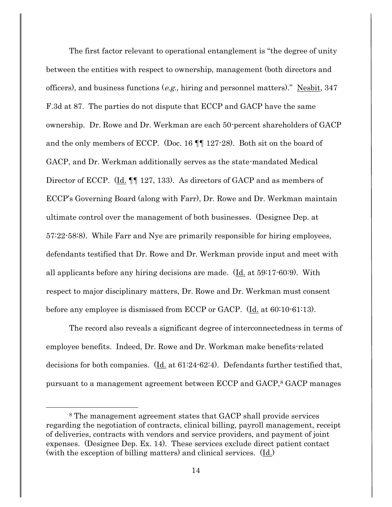The first factor relevant to operational entanglement is "the degree of unity between the entities with respect to ownership, management (both directors and officers), and business functions (e.g., hiring and personnel matters)." Nesbit, 347 F.3d at 87. The parties do not dispute that ECCP and GACP have the same ownership. Dr. Rowe and Dr. Werkman are each 50-percent shareholders of GACP and the only members of ECCP. (Doc. 16 ¶¶ 127-28). Both sit on the board of GACP, and Dr. Werkman additionally serves as the state-mandated Medical Director of ECCP. (Id. ¶¶ 127, 133). As directors of GACP and as members of ECCP's Governing Board (along with Farr), Dr. Rowe and Dr. Werkman maintain ultimate control over the management of both businesses. (Designee Dep. at 57:22-58:8). While Farr and Nye are primarily responsible for hiring employees, defendants testified that Dr. Rowe and Dr. Werkman provide input and meet with all applicants before any hiring decisions are made. (Id. at 59:17-60:9). With respect to major disciplinary matters, Dr. Rowe and Dr. Werkman must consent before any employee is dismissed from ECCP or GACP. (Id. at 60:10-61:13).

The record also reveals a significant degree of interconnectedness in terms of employee benefits. Indeed, Dr. Rowe and Dr. Workman make benefits-related decisions for both companies.  $(\underline{Id}$  at 61:24-62:4). Defendants further testified that, pursuant to a management agreement between ECCP and GACP,<sup>8</sup> GACP manages

 $\overline{a}$ 

<sup>8</sup> The management agreement states that GACP shall provide services regarding the negotiation of contracts, clinical billing, payroll management, receipt of deliveries, contracts with vendors and service providers, and payment of joint expenses. (Designee Dep. Ex. 14). These services exclude direct patient contact (with the exception of billing matters) and clinical services. (Id.)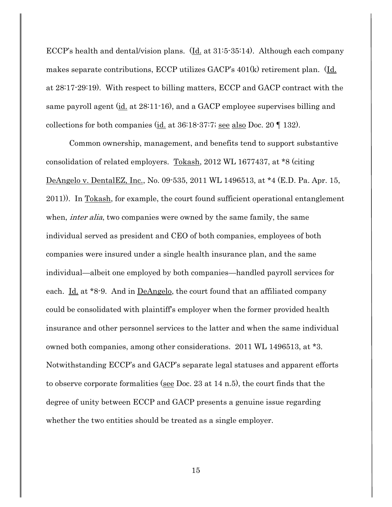ECCP's health and dental/vision plans.  $(\underline{Id}$  at 31:5-35:14). Although each company makes separate contributions, ECCP utilizes GACP's 401(k) retirement plan. (Id. at 28:17-29:19). With respect to billing matters, ECCP and GACP contract with the same payroll agent  $(id$  at  $28:11-16$ , and a GACP employee supervises billing and collections for both companies (id. at 36:18-37:7; see also Doc. 20 ¶ 132).

Common ownership, management, and benefits tend to support substantive consolidation of related employers. Tokash, 2012 WL 1677437, at \*8 (citing DeAngelo v. DentalEZ, Inc., No. 09-535, 2011 WL 1496513, at \*4 (E.D. Pa. Apr. 15, 2011)). In Tokash, for example, the court found sufficient operational entanglement when, *inter alia*, two companies were owned by the same family, the same individual served as president and CEO of both companies, employees of both companies were insured under a single health insurance plan, and the same individual—albeit one employed by both companies—handled payroll services for each. <u>Id.</u> at \*8-9. And in <u>DeAngelo</u>, the court found that an affiliated company could be consolidated with plaintiff's employer when the former provided health insurance and other personnel services to the latter and when the same individual owned both companies, among other considerations. 2011 WL 1496513, at \*3. Notwithstanding ECCP's and GACP's separate legal statuses and apparent efforts to observe corporate formalities (see Doc. 23 at 14 n.5), the court finds that the degree of unity between ECCP and GACP presents a genuine issue regarding whether the two entities should be treated as a single employer.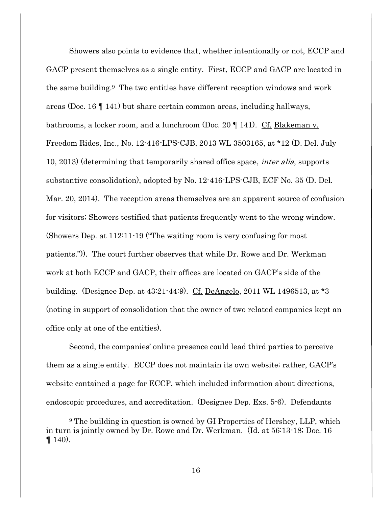Showers also points to evidence that, whether intentionally or not, ECCP and GACP present themselves as a single entity. First, ECCP and GACP are located in the same building.9 The two entities have different reception windows and work areas (Doc. 16 ¶ 141) but share certain common areas, including hallways, bathrooms, a locker room, and a lunchroom (Doc. 20 ¶ 141). Cf. Blakeman v. Freedom Rides, Inc., No. 12-416-LPS-CJB, 2013 WL 3503165, at \*12 (D. Del. July 10, 2013) (determining that temporarily shared office space, inter alia, supports substantive consolidation), adopted by No. 12-416-LPS-CJB, ECF No. 35 (D. Del. Mar. 20, 2014). The reception areas themselves are an apparent source of confusion for visitors; Showers testified that patients frequently went to the wrong window. (Showers Dep. at 112:11-19 ("The waiting room is very confusing for most patients.")). The court further observes that while Dr. Rowe and Dr. Werkman work at both ECCP and GACP, their offices are located on GACP's side of the building. (Designee Dep. at 43:21-44:9). Cf. DeAngelo, 2011 WL 1496513, at \*3 (noting in support of consolidation that the owner of two related companies kept an office only at one of the entities).

Second, the companies' online presence could lead third parties to perceive them as a single entity. ECCP does not maintain its own website; rather, GACP's website contained a page for ECCP, which included information about directions, endoscopic procedures, and accreditation. (Designee Dep. Exs. 5-6). Defendants

<sup>9</sup> The building in question is owned by GI Properties of Hershey, LLP, which in turn is jointly owned by Dr. Rowe and Dr. Werkman. (Id. at 56:13-18; Doc. 16  $\P$  140).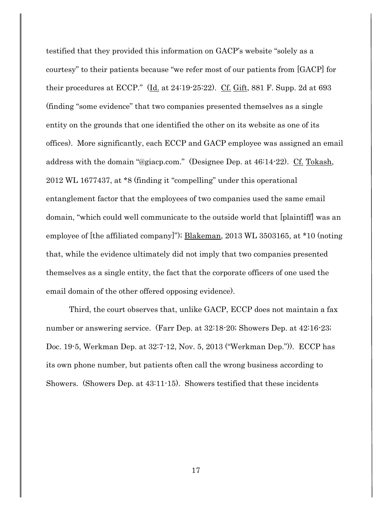testified that they provided this information on GACP's website "solely as a courtesy" to their patients because "we refer most of our patients from [GACP] for their procedures at ECCP."  $Id.$  at 24:19-25:22).  $Cf. Giff$ , 881 F. Supp. 2d at 693</u></u> (finding "some evidence" that two companies presented themselves as a single entity on the grounds that one identified the other on its website as one of its offices). More significantly, each ECCP and GACP employee was assigned an email address with the domain "@giacp.com." (Designee Dep. at 46:14-22). Cf. Tokash, 2012 WL 1677437, at \*8 (finding it "compelling" under this operational entanglement factor that the employees of two companies used the same email domain, "which could well communicate to the outside world that [plaintiff] was an employee of [the affiliated company]"); Blakeman, 2013 WL 3503165, at \*10 (noting that, while the evidence ultimately did not imply that two companies presented themselves as a single entity, the fact that the corporate officers of one used the email domain of the other offered opposing evidence).

Third, the court observes that, unlike GACP, ECCP does not maintain a fax number or answering service. (Farr Dep. at 32:18-20; Showers Dep. at 42:16-23; Doc. 19-5, Werkman Dep. at 32:7-12, Nov. 5, 2013 ("Werkman Dep.")). ECCP has its own phone number, but patients often call the wrong business according to Showers. (Showers Dep. at 43:11-15). Showers testified that these incidents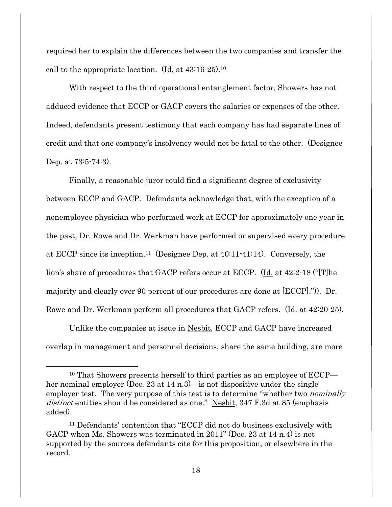required her to explain the differences between the two companies and transfer the call to the appropriate location. (Id. at 43:16-25).<sup>10</sup>

With respect to the third operational entanglement factor, Showers has not adduced evidence that ECCP or GACP covers the salaries or expenses of the other. Indeed, defendants present testimony that each company has had separate lines of credit and that one company's insolvency would not be fatal to the other. (Designee Dep. at 73:5-74:3).

Finally, a reasonable juror could find a significant degree of exclusivity between ECCP and GACP. Defendants acknowledge that, with the exception of a nonemployee physician who performed work at ECCP for approximately one year in the past, Dr. Rowe and Dr. Werkman have performed or supervised every procedure at ECCP since its inception.11 (Designee Dep. at 40:11-41:14). Conversely, the lion's share of procedures that GACP refers occur at ECCP. (Id. at 42:2-18 ("[T]he majority and clearly over 90 percent of our procedures are done at [ECCP].")). Dr. Rowe and Dr. Werkman perform all procedures that GACP refers. (Id. at 42:20-25).

Unlike the companies at issue in Nesbit, ECCP and GACP have increased overlap in management and personnel decisions, share the same building, are more

 $\overline{a}$ 

<sup>10</sup> That Showers presents herself to third parties as an employee of ECCP her nominal employer (Doc. 23 at 14 n.3)—is not dispositive under the single employer test. The very purpose of this test is to determine "whether two *nominally* distinct entities should be considered as one." Nesbit, 347 F.3d at 85 (emphasis added).

<sup>11</sup> Defendants' contention that "ECCP did not do business exclusively with GACP when Ms. Showers was terminated in 2011" (Doc. 23 at 14 n.4) is not supported by the sources defendants cite for this proposition, or elsewhere in the record.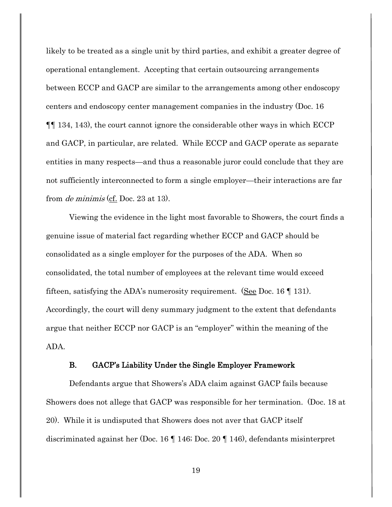likely to be treated as a single unit by third parties, and exhibit a greater degree of operational entanglement. Accepting that certain outsourcing arrangements between ECCP and GACP are similar to the arrangements among other endoscopy centers and endoscopy center management companies in the industry (Doc. 16 ¶¶ 134, 143), the court cannot ignore the considerable other ways in which ECCP and GACP, in particular, are related. While ECCP and GACP operate as separate entities in many respects—and thus a reasonable juror could conclude that they are not sufficiently interconnected to form a single employer—their interactions are far from de minimis (cf. Doc. 23 at 13).

Viewing the evidence in the light most favorable to Showers, the court finds a genuine issue of material fact regarding whether ECCP and GACP should be consolidated as a single employer for the purposes of the ADA. When so consolidated, the total number of employees at the relevant time would exceed fifteen, satisfying the ADA's numerosity requirement. (See Doc. 16  $\llbracket$  131). Accordingly, the court will deny summary judgment to the extent that defendants argue that neither ECCP nor GACP is an "employer" within the meaning of the ADA.

### B. GACP's Liability Under the Single Employer Framework

Defendants argue that Showers's ADA claim against GACP fails because Showers does not allege that GACP was responsible for her termination. (Doc. 18 at 20). While it is undisputed that Showers does not aver that GACP itself discriminated against her (Doc. 16 ¶ 146; Doc. 20 ¶ 146), defendants misinterpret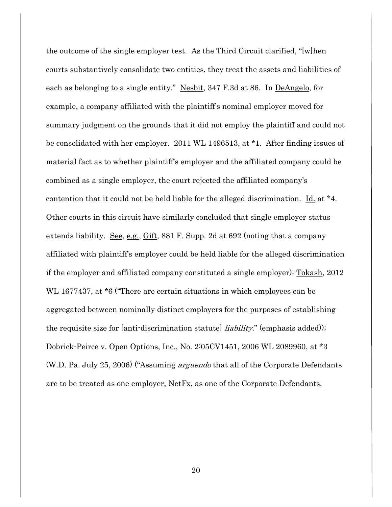the outcome of the single employer test. As the Third Circuit clarified, "[w]hen courts substantively consolidate two entities, they treat the assets and liabilities of each as belonging to a single entity." Nesbit, 347 F.3d at 86. In DeAngelo, for example, a company affiliated with the plaintiff's nominal employer moved for summary judgment on the grounds that it did not employ the plaintiff and could not be consolidated with her employer. 2011 WL 1496513, at \*1. After finding issues of material fact as to whether plaintiff's employer and the affiliated company could be combined as a single employer, the court rejected the affiliated company's contention that it could not be held liable for the alleged discrimination. Id. at  $*4$ . Other courts in this circuit have similarly concluded that single employer status extends liability. See, e.g., Gift, 881 F. Supp. 2d at 692 (noting that a company affiliated with plaintiff's employer could be held liable for the alleged discrimination if the employer and affiliated company constituted a single employer); Tokash, 2012 WL 1677437, at \*6 ("There are certain situations in which employees can be aggregated between nominally distinct employers for the purposes of establishing the requisite size for [anti-discrimination statute] *liability*." (emphasis added)); Dobrick-Peirce v. Open Options, Inc., No. 2:05CV1451, 2006 WL 2089960, at \*3 (W.D. Pa. July 25, 2006) ("Assuming arguendo that all of the Corporate Defendants are to be treated as one employer, NetFx, as one of the Corporate Defendants,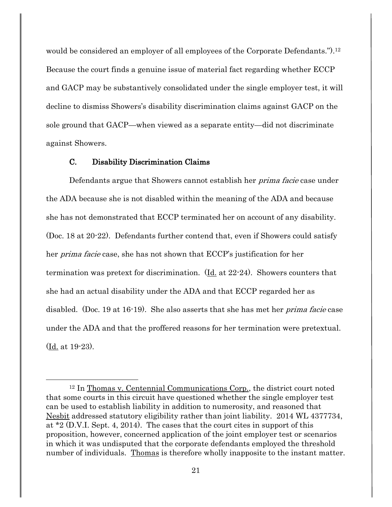would be considered an employer of all employees of the Corporate Defendants.").<sup>12</sup> Because the court finds a genuine issue of material fact regarding whether ECCP and GACP may be substantively consolidated under the single employer test, it will decline to dismiss Showers's disability discrimination claims against GACP on the sole ground that GACP—when viewed as a separate entity—did not discriminate against Showers.

### C. Disability Discrimination Claims

l

Defendants argue that Showers cannot establish her *prima facie* case under the ADA because she is not disabled within the meaning of the ADA and because she has not demonstrated that ECCP terminated her on account of any disability. (Doc. 18 at 20-22). Defendants further contend that, even if Showers could satisfy her prima facie case, she has not shown that ECCP's justification for her termination was pretext for discrimination. (Id. at 22-24). Showers counters that she had an actual disability under the ADA and that ECCP regarded her as disabled. (Doc. 19 at 16-19). She also asserts that she has met her *prima facie* case under the ADA and that the proffered reasons for her termination were pretextual. (Id. at 19-23).

<sup>12</sup> In Thomas v. Centennial Communications Corp., the district court noted that some courts in this circuit have questioned whether the single employer test can be used to establish liability in addition to numerosity, and reasoned that Nesbit addressed statutory eligibility rather than joint liability. 2014 WL 4377734, at \*2 (D.V.I. Sept. 4, 2014). The cases that the court cites in support of this proposition, however, concerned application of the joint employer test or scenarios in which it was undisputed that the corporate defendants employed the threshold number of individuals. Thomas is therefore wholly inapposite to the instant matter.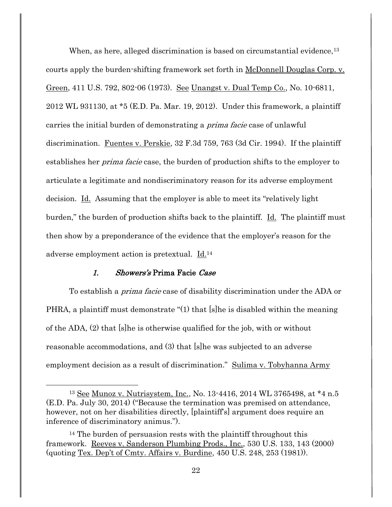When, as here, alleged discrimination is based on circumstantial evidence,<sup>13</sup> courts apply the burden-shifting framework set forth in McDonnell Douglas Corp. v. Green, 411 U.S. 792, 802-06 (1973). See Unangst v. Dual Temp Co., No. 10-6811, 2012 WL 931130, at \*5 (E.D. Pa. Mar. 19, 2012). Under this framework, a plaintiff carries the initial burden of demonstrating a *prima facie* case of unlawful discrimination. Fuentes v. Perskie, 32 F.3d 759, 763 (3d Cir. 1994). If the plaintiff establishes her *prima facie* case, the burden of production shifts to the employer to articulate a legitimate and nondiscriminatory reason for its adverse employment decision. Id. Assuming that the employer is able to meet its "relatively light burden," the burden of production shifts back to the plaintiff. <u>Id.</u> The plaintiff must then show by a preponderance of the evidence that the employer's reason for the adverse employment action is pretextual. Id.<sup>14</sup>

### 1. Showers's Prima Facie Case

l

To establish a *prima facie* case of disability discrimination under the ADA or PHRA, a plaintiff must demonstrate "(1) that [s]he is disabled within the meaning of the ADA, (2) that [s]he is otherwise qualified for the job, with or without reasonable accommodations, and (3) that [s]he was subjected to an adverse employment decision as a result of discrimination." Sulima v. Tobyhanna Army

<sup>13</sup> See Munoz v. Nutrisystem, Inc., No. 13-4416, 2014 WL 3765498, at \*4 n.5 (E.D. Pa. July 30, 2014) ("Because the termination was premised on attendance, however, not on her disabilities directly, [plaintiff's] argument does require an inference of discriminatory animus.").

<sup>&</sup>lt;sup>14</sup> The burden of persuasion rests with the plaintiff throughout this framework. Reeves v. Sanderson Plumbing Prods., Inc., 530 U.S. 133, 143 (2000) (quoting Tex. Dep't of Cmty. Affairs v. Burdine, 450 U.S. 248, 253 (1981)).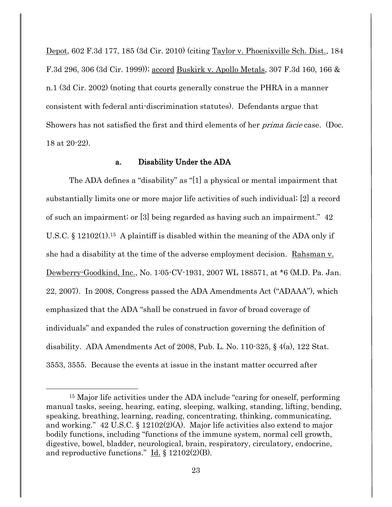Depot, 602 F.3d 177, 185 (3d Cir. 2010) (citing Taylor v. Phoenixville Sch. Dist., 184 F.3d 296, 306 (3d Cir. 1999)); accord Buskirk v. Apollo Metals, 307 F.3d 160, 166 & n.1 (3d Cir. 2002) (noting that courts generally construe the PHRA in a manner consistent with federal anti-discrimination statutes). Defendants argue that Showers has not satisfied the first and third elements of her *prima facie* case. (Doc. 18 at 20-22).

### a. Disability Under the ADA

The ADA defines a "disability" as "[1] a physical or mental impairment that substantially limits one or more major life activities of such individual; [2] a record of such an impairment; or [3] being regarded as having such an impairment." 42 U.S.C. § 12102(1).15 A plaintiff is disabled within the meaning of the ADA only if she had a disability at the time of the adverse employment decision. Rahsman v. Dewberry-Goodkind, Inc., No. 1:05-CV-1931, 2007 WL 188571, at \*6 (M.D. Pa. Jan. 22, 2007). In 2008, Congress passed the ADA Amendments Act ("ADAAA"), which emphasized that the ADA "shall be construed in favor of broad coverage of individuals" and expanded the rules of construction governing the definition of disability. ADA Amendments Act of 2008, Pub. L. No. 110-325, § 4(a), 122 Stat. 3553, 3555. Because the events at issue in the instant matter occurred after

 $\overline{a}$ 

<sup>15</sup> Major life activities under the ADA include "caring for oneself, performing manual tasks, seeing, hearing, eating, sleeping, walking, standing, lifting, bending, speaking, breathing, learning, reading, concentrating, thinking, communicating, and working." 42 U.S.C. § 12102(2)(A). Major life activities also extend to major bodily functions, including "functions of the immune system, normal cell growth, digestive, bowel, bladder, neurological, brain, respiratory, circulatory, endocrine, and reproductive functions."  $\underline{Id.}$  § 12102(2)(B).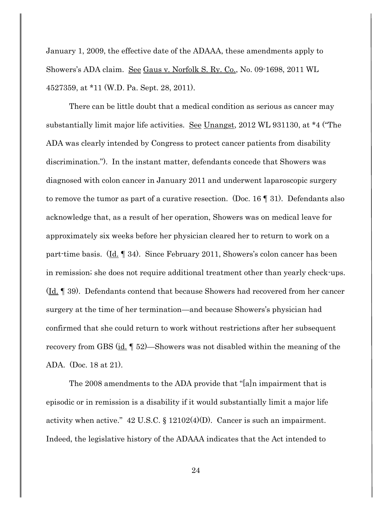January 1, 2009, the effective date of the ADAAA, these amendments apply to Showers's ADA claim. See Gaus v. Norfolk S. Ry. Co., No. 09-1698, 2011 WL 4527359, at \*11 (W.D. Pa. Sept. 28, 2011).

There can be little doubt that a medical condition as serious as cancer may substantially limit major life activities. <u>See Unangst</u>, 2012 WL 931130, at \*4 ("The ADA was clearly intended by Congress to protect cancer patients from disability discrimination."). In the instant matter, defendants concede that Showers was diagnosed with colon cancer in January 2011 and underwent laparoscopic surgery to remove the tumor as part of a curative resection. (Doc. 16 ¶ 31). Defendants also acknowledge that, as a result of her operation, Showers was on medical leave for approximately six weeks before her physician cleared her to return to work on a part-time basis. (Id. ¶ 34). Since February 2011, Showers's colon cancer has been in remission; she does not require additional treatment other than yearly check-ups. (Id. ¶ 39). Defendants contend that because Showers had recovered from her cancer surgery at the time of her termination—and because Showers's physician had confirmed that she could return to work without restrictions after her subsequent recovery from GBS (id. ¶ 52)—Showers was not disabled within the meaning of the ADA. (Doc. 18 at 21).

The 2008 amendments to the ADA provide that "[a]n impairment that is episodic or in remission is a disability if it would substantially limit a major life activity when active."  $42 \text{ U.S.C.}$  §  $12102(4)(D)$ . Cancer is such an impairment. Indeed, the legislative history of the ADAAA indicates that the Act intended to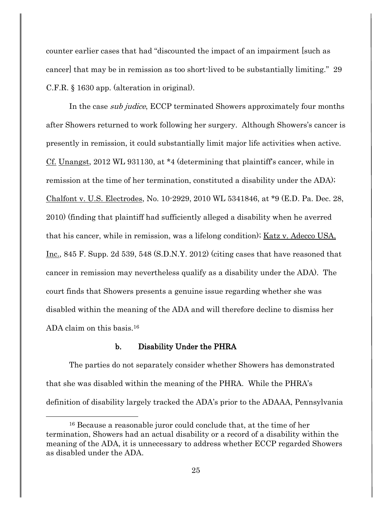counter earlier cases that had "discounted the impact of an impairment [such as cancer] that may be in remission as too short-lived to be substantially limiting." 29 C.F.R. § 1630 app. (alteration in original).

In the case sub judice, ECCP terminated Showers approximately four months after Showers returned to work following her surgery. Although Showers's cancer is presently in remission, it could substantially limit major life activities when active. Cf. Unangst, 2012 WL 931130, at \*4 (determining that plaintiff's cancer, while in remission at the time of her termination, constituted a disability under the ADA); Chalfont v. U.S. Electrodes, No. 10-2929, 2010 WL 5341846, at \*9 (E.D. Pa. Dec. 28, 2010) (finding that plaintiff had sufficiently alleged a disability when he averred that his cancer, while in remission, was a lifelong condition); Katz v. Adecco USA, Inc., 845 F. Supp. 2d 539, 548 (S.D.N.Y. 2012) (citing cases that have reasoned that cancer in remission may nevertheless qualify as a disability under the ADA). The court finds that Showers presents a genuine issue regarding whether she was disabled within the meaning of the ADA and will therefore decline to dismiss her ADA claim on this basis.<sup>16</sup>

### b. Disability Under the PHRA

l

The parties do not separately consider whether Showers has demonstrated that she was disabled within the meaning of the PHRA. While the PHRA's definition of disability largely tracked the ADA's prior to the ADAAA, Pennsylvania

<sup>16</sup> Because a reasonable juror could conclude that, at the time of her termination, Showers had an actual disability or a record of a disability within the meaning of the ADA, it is unnecessary to address whether ECCP regarded Showers as disabled under the ADA.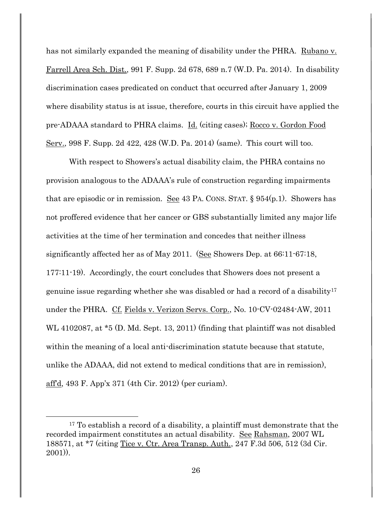has not similarly expanded the meaning of disability under the PHRA. Rubano v. Farrell Area Sch. Dist., 991 F. Supp. 2d 678, 689 n.7 (W.D. Pa. 2014). In disability discrimination cases predicated on conduct that occurred after January 1, 2009 where disability status is at issue, therefore, courts in this circuit have applied the pre-ADAAA standard to PHRA claims. Id. (citing cases); Rocco v. Gordon Food Serv., 998 F. Supp. 2d 422, 428 (W.D. Pa. 2014) (same). This court will too.

With respect to Showers's actual disability claim, the PHRA contains no provision analogous to the ADAAA's rule of construction regarding impairments that are episodic or in remission. See 43 PA. CONS. STAT.  $\S 954(p,1)$ . Showers has not proffered evidence that her cancer or GBS substantially limited any major life activities at the time of her termination and concedes that neither illness significantly affected her as of May 2011. (See Showers Dep. at 66:11-67:18, 177:11-19). Accordingly, the court concludes that Showers does not present a genuine issue regarding whether she was disabled or had a record of a disability<sup>17</sup> under the PHRA. Cf. Fields v. Verizon Servs. Corp., No. 10-CV-02484-AW, 2011 WL 4102087, at  $*5$  (D. Md. Sept. 13, 2011) (finding that plaintiff was not disabled within the meaning of a local anti-discrimination statute because that statute, unlike the ADAAA, did not extend to medical conditions that are in remission), aff'd, 493 F. App'x 371 (4th Cir. 2012) (per curiam).

<sup>17</sup> To establish a record of a disability, a plaintiff must demonstrate that the recorded impairment constitutes an actual disability. See Rahsman, 2007 WL 188571, at \*7 (citing Tice v. Ctr. Area Transp. Auth., 247 F.3d 506, 512 (3d Cir. 2001)).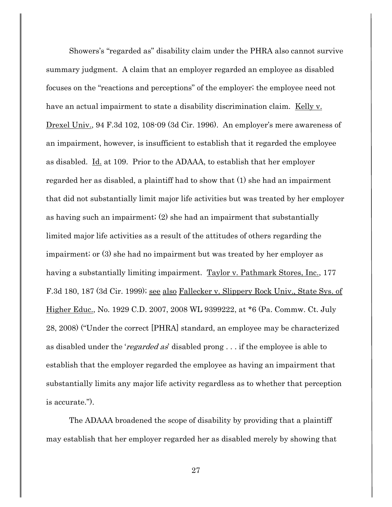Showers's "regarded as" disability claim under the PHRA also cannot survive summary judgment. A claim that an employer regarded an employee as disabled focuses on the "reactions and perceptions" of the employer; the employee need not have an actual impairment to state a disability discrimination claim. Kelly v. Drexel Univ., 94 F.3d 102, 108-09 (3d Cir. 1996). An employer's mere awareness of an impairment, however, is insufficient to establish that it regarded the employee as disabled. Id. at 109. Prior to the ADAAA, to establish that her employer regarded her as disabled, a plaintiff had to show that (1) she had an impairment that did not substantially limit major life activities but was treated by her employer as having such an impairment; (2) she had an impairment that substantially limited major life activities as a result of the attitudes of others regarding the impairment; or (3) she had no impairment but was treated by her employer as having a substantially limiting impairment. Taylor v. Pathmark Stores, Inc., 177 F.3d 180, 187 (3d Cir. 1999); see also Fallecker v. Slippery Rock Univ., State Sys. of Higher Educ., No. 1929 C.D. 2007, 2008 WL 9399222, at \*6 (Pa. Commw. Ct. July 28, 2008) ("Under the correct [PHRA] standard, an employee may be characterized as disabled under the 'regarded as' disabled prong . . . if the employee is able to establish that the employer regarded the employee as having an impairment that substantially limits any major life activity regardless as to whether that perception is accurate.").

The ADAAA broadened the scope of disability by providing that a plaintiff may establish that her employer regarded her as disabled merely by showing that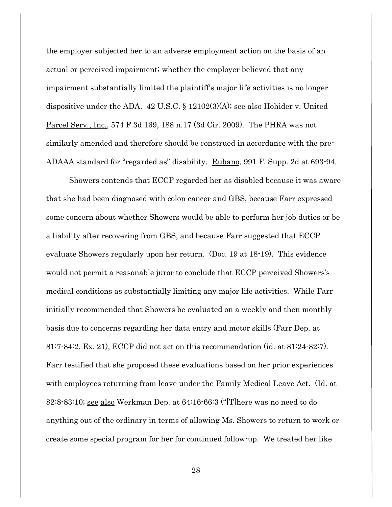the employer subjected her to an adverse employment action on the basis of an actual or perceived impairment; whether the employer believed that any impairment substantially limited the plaintiff's major life activities is no longer dispositive under the ADA. 42 U.S.C.  $\S$  12102(3)(A); <u>see also Hohider v. United</u> Parcel Serv., Inc., 574 F.3d 169, 188 n.17 (3d Cir. 2009). The PHRA was not similarly amended and therefore should be construed in accordance with the pre-ADAAA standard for "regarded as" disability. Rubano, 991 F. Supp. 2d at 693-94.

Showers contends that ECCP regarded her as disabled because it was aware that she had been diagnosed with colon cancer and GBS, because Farr expressed some concern about whether Showers would be able to perform her job duties or be a liability after recovering from GBS, and because Farr suggested that ECCP evaluate Showers regularly upon her return. (Doc. 19 at 18-19). This evidence would not permit a reasonable juror to conclude that ECCP perceived Showers's medical conditions as substantially limiting any major life activities. While Farr initially recommended that Showers be evaluated on a weekly and then monthly basis due to concerns regarding her data entry and motor skills (Farr Dep. at 81:7-84:2, Ex. 21), ECCP did not act on this recommendation (id. at 81:24-82:7). Farr testified that she proposed these evaluations based on her prior experiences with employees returning from leave under the Family Medical Leave Act. (Id. at 82:8-83:10; see also Werkman Dep. at 64:16-66:3 ("[T]here was no need to do anything out of the ordinary in terms of allowing Ms. Showers to return to work or create some special program for her for continued follow-up. We treated her like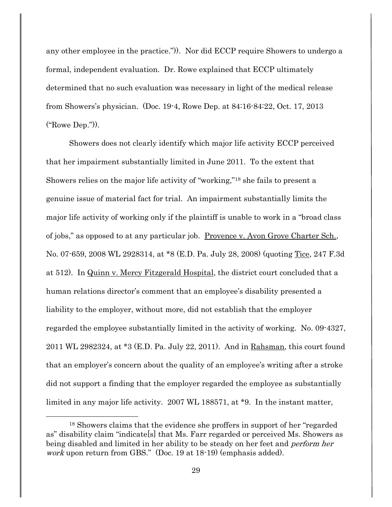any other employee in the practice.")). Nor did ECCP require Showers to undergo a formal, independent evaluation. Dr. Rowe explained that ECCP ultimately determined that no such evaluation was necessary in light of the medical release from Showers's physician. (Doc. 19-4, Rowe Dep. at 84:16-84:22, Oct. 17, 2013 ("Rowe Dep.")).

Showers does not clearly identify which major life activity ECCP perceived that her impairment substantially limited in June 2011. To the extent that Showers relies on the major life activity of "working,"<sup>18</sup> she fails to present a genuine issue of material fact for trial. An impairment substantially limits the major life activity of working only if the plaintiff is unable to work in a "broad class of jobs," as opposed to at any particular job. Provence v. Avon Grove Charter Sch., No. 07-659, 2008 WL 2928314, at \*8 (E.D. Pa. July 28, 2008) (quoting Tice, 247 F.3d at 512). In Quinn v. Mercy Fitzgerald Hospital, the district court concluded that a human relations director's comment that an employee's disability presented a liability to the employer, without more, did not establish that the employer regarded the employee substantially limited in the activity of working. No. 09-4327, 2011 WL 2982324, at \*3 (E.D. Pa. July 22, 2011). And in Rahsman, this court found that an employer's concern about the quality of an employee's writing after a stroke did not support a finding that the employer regarded the employee as substantially limited in any major life activity. 2007 WL 188571, at \*9. In the instant matter,

<sup>18</sup> Showers claims that the evidence she proffers in support of her "regarded as" disability claim "indicate s that Ms. Farr regarded or perceived Ms. Showers as being disabled and limited in her ability to be steady on her feet and perform her work upon return from GBS." (Doc. 19 at 18-19) (emphasis added).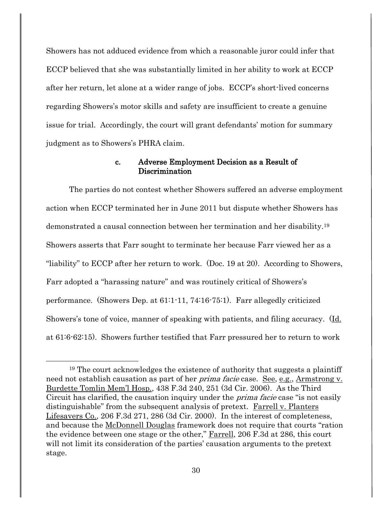Showers has not adduced evidence from which a reasonable juror could infer that ECCP believed that she was substantially limited in her ability to work at ECCP after her return, let alone at a wider range of jobs. ECCP's short-lived concerns regarding Showers's motor skills and safety are insufficient to create a genuine issue for trial. Accordingly, the court will grant defendants' motion for summary judgment as to Showers's PHRA claim.

### c. Adverse Employment Decision as a Result of Discrimination

The parties do not contest whether Showers suffered an adverse employment action when ECCP terminated her in June 2011 but dispute whether Showers has demonstrated a causal connection between her termination and her disability.<sup>19</sup> Showers asserts that Farr sought to terminate her because Farr viewed her as a "liability" to ECCP after her return to work. (Doc. 19 at 20). According to Showers, Farr adopted a "harassing nature" and was routinely critical of Showers's performance. (Showers Dep. at 61:1-11, 74:16-75:1). Farr allegedly criticized Showers's tone of voice, manner of speaking with patients, and filing accuracy. (Id. at 61:6-62:15). Showers further testified that Farr pressured her to return to work

<sup>19</sup> The court acknowledges the existence of authority that suggests a plaintiff need not establish causation as part of her *prima facie* case. See, e.g., Armstrong v. Burdette Tomlin Mem'l Hosp., 438 F.3d 240, 251 (3d Cir. 2006). As the Third Circuit has clarified, the causation inquiry under the prima facie case "is not easily distinguishable" from the subsequent analysis of pretext. Farrell v. Planters Lifesavers Co., 206 F.3d 271, 286 (3d Cir. 2000). In the interest of completeness, and because the McDonnell Douglas framework does not require that courts "ration the evidence between one stage or the other," Farrell, 206 F.3d at 286, this court will not limit its consideration of the parties' causation arguments to the pretext stage.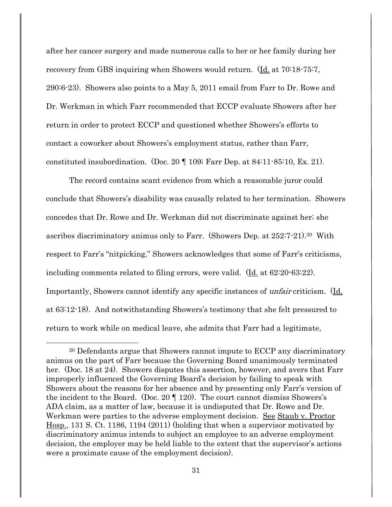after her cancer surgery and made numerous calls to her or her family during her recovery from GBS inquiring when Showers would return. (Id. at 70:18-75:7, 290:6-23). Showers also points to a May 5, 2011 email from Farr to Dr. Rowe and Dr. Werkman in which Farr recommended that ECCP evaluate Showers after her return in order to protect ECCP and questioned whether Showers's efforts to contact a coworker about Showers's employment status, rather than Farr, constituted insubordination. (Doc. 20 ¶ 109; Farr Dep. at 84:11-85:10, Ex. 21).

The record contains scant evidence from which a reasonable juror could conclude that Showers's disability was causally related to her termination. Showers concedes that Dr. Rowe and Dr. Werkman did not discriminate against her; she ascribes discriminatory animus only to Farr. (Showers Dep. at 252:7-21).20 With respect to Farr's "nitpicking," Showers acknowledges that some of Farr's criticisms, including comments related to filing errors, were valid. (Id. at 62:20-63:22). Importantly, Showers cannot identify any specific instances of *unfair* criticism. (Id. at 63:12-18). And notwithstanding Showers's testimony that she felt pressured to return to work while on medical leave, she admits that Farr had a legitimate,

<sup>&</sup>lt;sup>20</sup> Defendants argue that Showers cannot impute to ECCP any discriminatory animus on the part of Farr because the Governing Board unanimously terminated her. (Doc. 18 at 24). Showers disputes this assertion, however, and avers that Farr improperly influenced the Governing Board's decision by failing to speak with Showers about the reasons for her absence and by presenting only Farr's version of the incident to the Board. (Doc. 20 ¶ 120). The court cannot dismiss Showers's ADA claim, as a matter of law, because it is undisputed that Dr. Rowe and Dr. Werkman were parties to the adverse employment decision. See Staub v. Proctor Hosp., 131 S. Ct. 1186, 1194 (2011) (holding that when a supervisor motivated by discriminatory animus intends to subject an employee to an adverse employment decision, the employer may be held liable to the extent that the supervisor's actions were a proximate cause of the employment decision).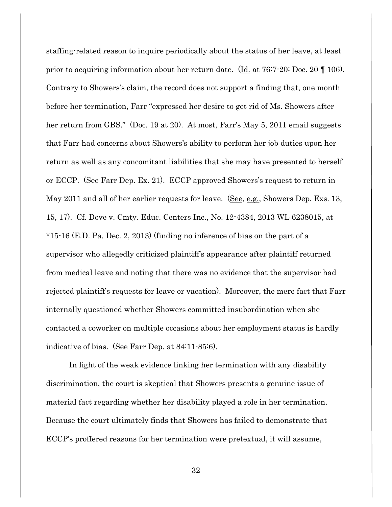staffing-related reason to inquire periodically about the status of her leave, at least prior to acquiring information about her return date. ( $\underline{Id}$ , at 76:7-20; Doc. 20  $\P$  106). Contrary to Showers's claim, the record does not support a finding that, one month before her termination, Farr "expressed her desire to get rid of Ms. Showers after her return from GBS." (Doc. 19 at 20). At most, Farr's May 5, 2011 email suggests that Farr had concerns about Showers's ability to perform her job duties upon her return as well as any concomitant liabilities that she may have presented to herself or ECCP. (See Farr Dep. Ex. 21). ECCP approved Showers's request to return in May 2011 and all of her earlier requests for leave. (See, e.g., Showers Dep. Exs. 13, 15, 17). Cf. Dove v. Cmty. Educ. Centers Inc., No. 12-4384, 2013 WL 6238015, at \*15-16 (E.D. Pa. Dec. 2, 2013) (finding no inference of bias on the part of a supervisor who allegedly criticized plaintiff's appearance after plaintiff returned from medical leave and noting that there was no evidence that the supervisor had rejected plaintiff's requests for leave or vacation). Moreover, the mere fact that Farr internally questioned whether Showers committed insubordination when she contacted a coworker on multiple occasions about her employment status is hardly indicative of bias. (See Farr Dep. at 84:11-85:6).

In light of the weak evidence linking her termination with any disability discrimination, the court is skeptical that Showers presents a genuine issue of material fact regarding whether her disability played a role in her termination. Because the court ultimately finds that Showers has failed to demonstrate that ECCP's proffered reasons for her termination were pretextual, it will assume,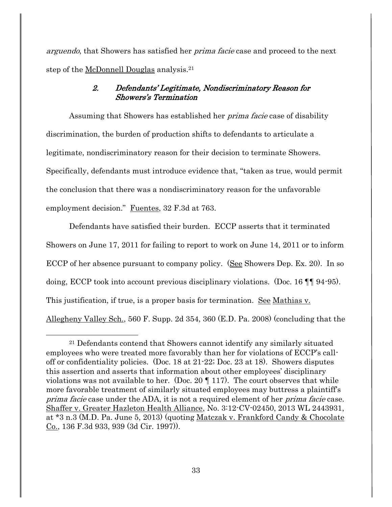arguendo, that Showers has satisfied her *prima facie* case and proceed to the next step of the McDonnell Douglas analysis.<sup>21</sup>

### 2. Defendants' Legitimate, Nondiscriminatory Reason for Showers's Termination

Assuming that Showers has established her prima facie case of disability discrimination, the burden of production shifts to defendants to articulate a legitimate, nondiscriminatory reason for their decision to terminate Showers. Specifically, defendants must introduce evidence that, "taken as true, would permit the conclusion that there was a nondiscriminatory reason for the unfavorable employment decision." Fuentes, 32 F.3d at 763.

Defendants have satisfied their burden. ECCP asserts that it terminated Showers on June 17, 2011 for failing to report to work on June 14, 2011 or to inform ECCP of her absence pursuant to company policy. (See Showers Dep. Ex. 20). In so doing, ECCP took into account previous disciplinary violations. (Doc. 16 ¶¶ 94-95). This justification, if true, is a proper basis for termination. See Mathias v. Allegheny Valley Sch., 560 F. Supp. 2d 354, 360 (E.D. Pa. 2008) (concluding that the

<sup>21</sup> Defendants contend that Showers cannot identify any similarly situated employees who were treated more favorably than her for violations of ECCP's calloff or confidentiality policies. (Doc. 18 at 21-22; Doc. 23 at 18). Showers disputes this assertion and asserts that information about other employees' disciplinary violations was not available to her. (Doc. 20  $\P$  117). The court observes that while more favorable treatment of similarly situated employees may buttress a plaintiff's prima facie case under the ADA, it is not a required element of her *prima facie* case. Shaffer v. Greater Hazleton Health Alliance, No. 3:12-CV-02450, 2013 WL 2443931, at \*3 n.3 (M.D. Pa. June 5, 2013) (quoting Matczak v. Frankford Candy & Chocolate Co., 136 F.3d 933, 939 (3d Cir. 1997)).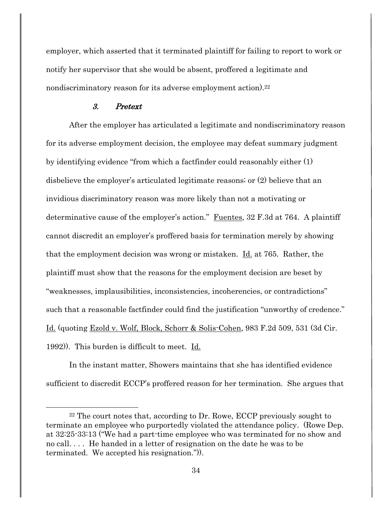employer, which asserted that it terminated plaintiff for failing to report to work or notify her supervisor that she would be absent, proffered a legitimate and nondiscriminatory reason for its adverse employment action).<sup>22</sup>

### 3. Pretext

 $\overline{a}$ 

After the employer has articulated a legitimate and nondiscriminatory reason for its adverse employment decision, the employee may defeat summary judgment by identifying evidence "from which a factfinder could reasonably either (1) disbelieve the employer's articulated legitimate reasons; or (2) believe that an invidious discriminatory reason was more likely than not a motivating or determinative cause of the employer's action." Fuentes, 32 F.3d at 764. A plaintiff cannot discredit an employer's proffered basis for termination merely by showing that the employment decision was wrong or mistaken. Id. at 765. Rather, the plaintiff must show that the reasons for the employment decision are beset by "weaknesses, implausibilities, inconsistencies, incoherencies, or contradictions" such that a reasonable factfinder could find the justification "unworthy of credence." Id. (quoting Ezold v. Wolf, Block, Schorr & Solis-Cohen, 983 F.2d 509, 531 (3d Cir. 1992)). This burden is difficult to meet. Id.

In the instant matter, Showers maintains that she has identified evidence sufficient to discredit ECCP's proffered reason for her termination. She argues that

<sup>22</sup> The court notes that, according to Dr. Rowe, ECCP previously sought to terminate an employee who purportedly violated the attendance policy. (Rowe Dep. at 32:25-33:13 ("We had a part-time employee who was terminated for no show and no call. . . . He handed in a letter of resignation on the date he was to be terminated. We accepted his resignation.")).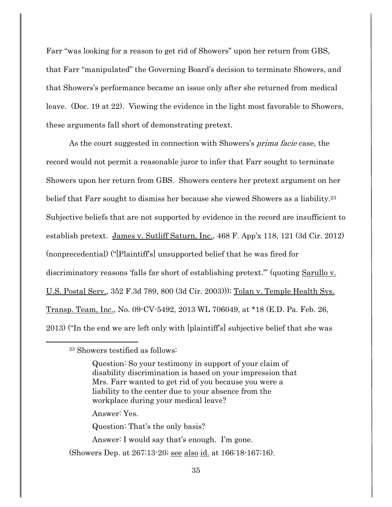Farr "was looking for a reason to get rid of Showers" upon her return from GBS, that Farr "manipulated" the Governing Board's decision to terminate Showers, and that Showers's performance became an issue only after she returned from medical leave. (Doc. 19 at 22). Viewing the evidence in the light most favorable to Showers, these arguments fall short of demonstrating pretext.

As the court suggested in connection with Showers's *prima facie* case, the record would not permit a reasonable juror to infer that Farr sought to terminate Showers upon her return from GBS. Showers centers her pretext argument on her belief that Farr sought to dismiss her because she viewed Showers as a liability.<sup>23</sup> Subjective beliefs that are not supported by evidence in the record are insufficient to establish pretext. James v. Sutliff Saturn, Inc., 468 F. App'x 118, 121 (3d Cir. 2012) (nonprecedential) ("[Plaintiff's] unsupported belief that he was fired for discriminatory reasons 'falls far short of establishing pretext.'" (quoting Sarullo v. U.S. Postal Serv., 352 F.3d 789, 800 (3d Cir. 2003))); Tolan v. Temple Health Sys. Transp. Team, Inc., No. 09-CV-5492, 2013 WL 706049, at \*18 (E.D. Pa. Feb. 26, 2013) ("In the end we are left only with [plaintiff's] subjective belief that she was

l

Question: So your testimony in support of your claim of disability discrimination is based on your impression that Mrs. Farr wanted to get rid of you because you were a liability to the center due to your absence from the workplace during your medical leave?

Answer: Yes.

Question: That's the only basis?

- Answer: I would say that's enough. I'm gone.
- (Showers Dep. at 267:13-20; <u>see also id.</u> at 166:18-167:16).

<sup>23</sup> Showers testified as follows: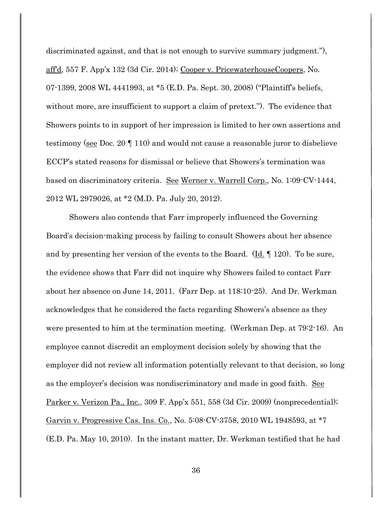discriminated against, and that is not enough to survive summary judgment."), aff'd, 557 F. App'x 132 (3d Cir. 2014); Cooper v. PricewaterhouseCoopers, No. 07-1399, 2008 WL 4441993, at \*5 (E.D. Pa. Sept. 30, 2008) ("Plaintiff's beliefs, without more, are insufficient to support a claim of pretext."). The evidence that Showers points to in support of her impression is limited to her own assertions and testimony (see Doc. 20 ¶ 110) and would not cause a reasonable juror to disbelieve ECCP's stated reasons for dismissal or believe that Showers's termination was based on discriminatory criteria. See Werner v. Warrell Corp., No. 1:09-CV-1444, 2012 WL 2979026, at \*2 (M.D. Pa. July 20, 2012).

Showers also contends that Farr improperly influenced the Governing Board's decision-making process by failing to consult Showers about her absence and by presenting her version of the events to the Board. (Id. ¶ 120). To be sure, the evidence shows that Farr did not inquire why Showers failed to contact Farr about her absence on June 14, 2011. (Farr Dep. at 118:10-25). And Dr. Werkman acknowledges that he considered the facts regarding Showers's absence as they were presented to him at the termination meeting. (Werkman Dep. at 79:2-16). An employee cannot discredit an employment decision solely by showing that the employer did not review all information potentially relevant to that decision, so long as the employer's decision was nondiscriminatory and made in good faith. See Parker v. Verizon Pa., Inc., 309 F. App'x 551, 558 (3d Cir. 2009) (nonprecedential); Garvin v. Progressive Cas. Ins. Co., No. 5:08-CV-3758, 2010 WL 1948593, at \*7 (E.D. Pa. May 10, 2010). In the instant matter, Dr. Werkman testified that he had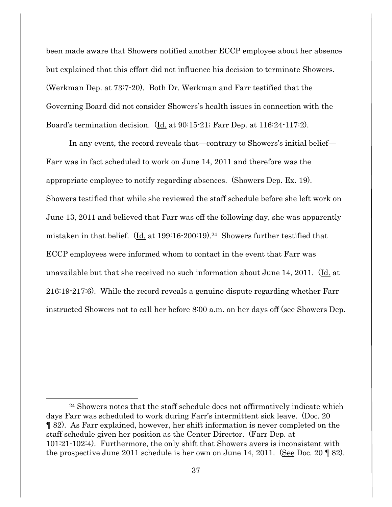been made aware that Showers notified another ECCP employee about her absence but explained that this effort did not influence his decision to terminate Showers. (Werkman Dep. at 73:7-20). Both Dr. Werkman and Farr testified that the Governing Board did not consider Showers's health issues in connection with the Board's termination decision. (Id. at 90:15-21; Farr Dep. at 116:24-117:2).

In any event, the record reveals that—contrary to Showers's initial belief— Farr was in fact scheduled to work on June 14, 2011 and therefore was the appropriate employee to notify regarding absences. (Showers Dep. Ex. 19). Showers testified that while she reviewed the staff schedule before she left work on June 13, 2011 and believed that Farr was off the following day, she was apparently mistaken in that belief. (Id. at 199:16-200:19).24 Showers further testified that ECCP employees were informed whom to contact in the event that Farr was unavailable but that she received no such information about June 14, 2011. (Id. at 216:19-217:6). While the record reveals a genuine dispute regarding whether Farr instructed Showers not to call her before 8:00 a.m. on her days off (see Showers Dep.

<sup>24</sup> Showers notes that the staff schedule does not affirmatively indicate which days Farr was scheduled to work during Farr's intermittent sick leave. (Doc. 20 ¶ 82). As Farr explained, however, her shift information is never completed on the staff schedule given her position as the Center Director. (Farr Dep. at 101:21-102:4). Furthermore, the only shift that Showers avers is inconsistent with the prospective June 2011 schedule is her own on June 14, 2011. (See Doc. 20  $\parallel$  82).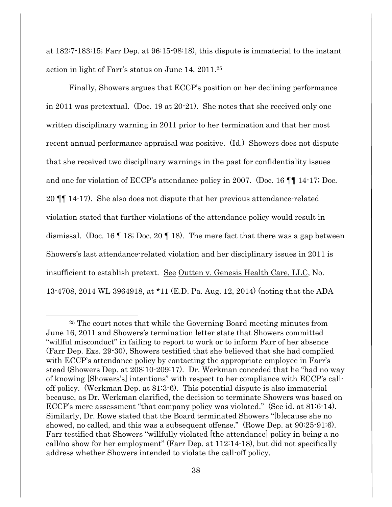at 182:7-183:15; Farr Dep. at 96:15-98:18), this dispute is immaterial to the instant action in light of Farr's status on June 14, 2011. 25

Finally, Showers argues that ECCP's position on her declining performance in 2011 was pretextual. (Doc. 19 at 20-21). She notes that she received only one written disciplinary warning in 2011 prior to her termination and that her most recent annual performance appraisal was positive.  $(\underline{Id})$  Showers does not dispute that she received two disciplinary warnings in the past for confidentiality issues and one for violation of ECCP's attendance policy in 2007. (Doc. 16 ¶¶ 14-17; Doc. 20 ¶¶ 14-17). She also does not dispute that her previous attendance-related violation stated that further violations of the attendance policy would result in dismissal. (Doc. 16 ¶ 18; Doc. 20 ¶ 18). The mere fact that there was a gap between Showers's last attendance-related violation and her disciplinary issues in 2011 is insufficient to establish pretext. See Outten v. Genesis Health Care, LLC, No. 13-4708, 2014 WL 3964918, at \*11 (E.D. Pa. Aug. 12, 2014) (noting that the ADA

<sup>25</sup> The court notes that while the Governing Board meeting minutes from June 16, 2011 and Showers's termination letter state that Showers committed "willful misconduct" in failing to report to work or to inform Farr of her absence (Farr Dep. Exs. 29-30), Showers testified that she believed that she had complied with ECCP's attendance policy by contacting the appropriate employee in Farr's stead (Showers Dep. at 208:10-209:17). Dr. Werkman conceded that he "had no way of knowing [Showers's] intentions" with respect to her compliance with ECCP's calloff policy. (Werkman Dep. at 81:3-6). This potential dispute is also immaterial because, as Dr. Werkman clarified, the decision to terminate Showers was based on ECCP's mere assessment "that company policy was violated." (See id. at 81:6-14). Similarly, Dr. Rowe stated that the Board terminated Showers "[b]ecause she no showed, no called, and this was a subsequent offense." (Rowe Dep. at 90:25-91:6). Farr testified that Showers "willfully violated [the attendance] policy in being a no call/no show for her employment" (Farr Dep. at 112:14-18), but did not specifically address whether Showers intended to violate the call-off policy.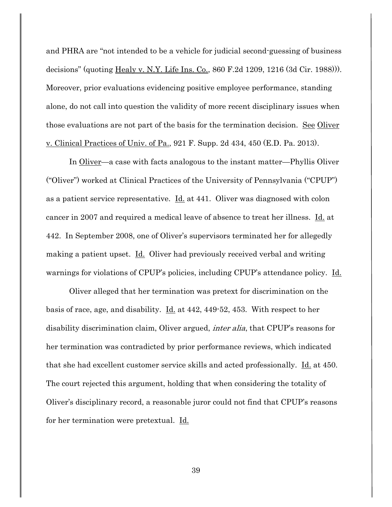and PHRA are "not intended to be a vehicle for judicial second-guessing of business decisions" (quoting <u>Healy v. N.Y. Life Ins. Co.</u>, 860 F.2d 1209, 1216 (3d Cir. 1988))). Moreover, prior evaluations evidencing positive employee performance, standing alone, do not call into question the validity of more recent disciplinary issues when those evaluations are not part of the basis for the termination decision. See Oliver v. Clinical Practices of Univ. of Pa., 921 F. Supp. 2d 434, 450 (E.D. Pa. 2013).

In Oliver—a case with facts analogous to the instant matter—Phyllis Oliver ("Oliver") worked at Clinical Practices of the University of Pennsylvania ("CPUP") as a patient service representative.  $\underline{Id}$  at 441. Oliver was diagnosed with colon cancer in 2007 and required a medical leave of absence to treat her illness. Id. at 442. In September 2008, one of Oliver's supervisors terminated her for allegedly making a patient upset. Id. Oliver had previously received verbal and writing warnings for violations of CPUP's policies, including CPUP's attendance policy. Id.

Oliver alleged that her termination was pretext for discrimination on the basis of race, age, and disability. Id. at 442, 449-52, 453. With respect to her disability discrimination claim, Oliver argued, *inter alia*, that CPUP's reasons for her termination was contradicted by prior performance reviews, which indicated that she had excellent customer service skills and acted professionally.  $\underline{Id}$  at 450. The court rejected this argument, holding that when considering the totality of Oliver's disciplinary record, a reasonable juror could not find that CPUP's reasons for her termination were pretextual. Id.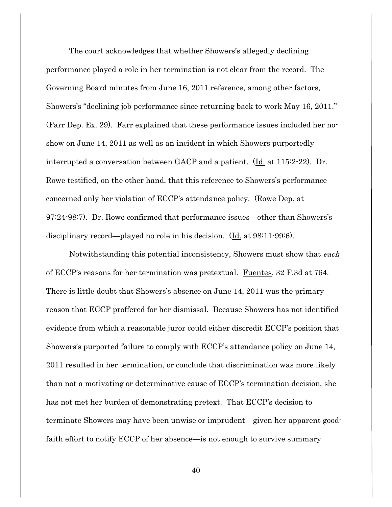The court acknowledges that whether Showers's allegedly declining performance played a role in her termination is not clear from the record. The Governing Board minutes from June 16, 2011 reference, among other factors, Showers's "declining job performance since returning back to work May 16, 2011." (Farr Dep. Ex. 29). Farr explained that these performance issues included her noshow on June 14, 2011 as well as an incident in which Showers purportedly interrupted a conversation between GACP and a patient. (Id. at 115:2-22). Dr. Rowe testified, on the other hand, that this reference to Showers's performance concerned only her violation of ECCP's attendance policy. (Rowe Dep. at 97:24-98:7). Dr. Rowe confirmed that performance issues—other than Showers's disciplinary record—played no role in his decision. (Id. at 98:11-99:6).

Notwithstanding this potential inconsistency, Showers must show that *each* of ECCP's reasons for her termination was pretextual. Fuentes, 32 F.3d at 764. There is little doubt that Showers's absence on June 14, 2011 was the primary reason that ECCP proffered for her dismissal. Because Showers has not identified evidence from which a reasonable juror could either discredit ECCP's position that Showers's purported failure to comply with ECCP's attendance policy on June 14, 2011 resulted in her termination, or conclude that discrimination was more likely than not a motivating or determinative cause of ECCP's termination decision, she has not met her burden of demonstrating pretext. That ECCP's decision to terminate Showers may have been unwise or imprudent—given her apparent goodfaith effort to notify ECCP of her absence—is not enough to survive summary